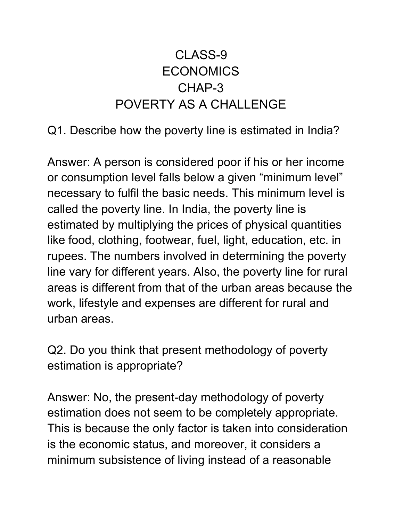## CLASS-9 **ECONOMICS** CHAP-3 POVERTY AS A CHALLENGE

Q1. Describe how the poverty line is estimated in India?

Answer: A person is considered poor if his or her income or consumption level falls below a given "minimum level" necessary to fulfil the basic needs. This minimum level is called the poverty line. In India, the poverty line is estimated by multiplying the prices of physical quantities like food, clothing, footwear, fuel, light, education, etc. in rupees. The numbers involved in determining the poverty line vary for different years. Also, the poverty line for rural areas is different from that of the urban areas because the work, lifestyle and expenses are different for rural and urban areas.

Q2. Do you think that present methodology of poverty estimation is appropriate?

Answer: No, the present-day methodology of poverty estimation does not seem to be completely appropriate. This is because the only factor is taken into consideration is the economic status, and moreover, it considers a minimum subsistence of living instead of a reasonable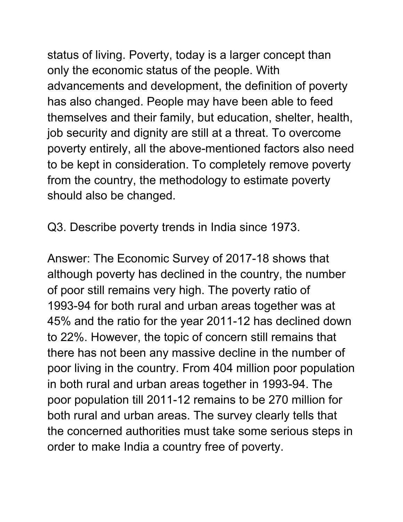status of living. Poverty, today is a larger concept than only the economic status of the people. With advancements and development, the definition of poverty has also changed. People may have been able to feed themselves and their family, but education, shelter, health, job security and dignity are still at a threat. To overcome poverty entirely, all the above-mentioned factors also need to be kept in consideration. To completely remove poverty from the country, the methodology to estimate poverty should also be changed.

Q3. Describe poverty trends in India since 1973.

Answer: The Economic Survey of 2017-18 shows that although poverty has declined in the country, the number of poor still remains very high. The poverty ratio of 1993-94 for both rural and urban areas together was at 45% and the ratio for the year 2011-12 has declined down to 22%. However, the topic of concern still remains that there has not been any massive decline in the number of poor living in the country. From 404 million poor population in both rural and urban areas together in 1993-94. The poor population till 2011-12 remains to be 270 million for both rural and urban areas. The survey clearly tells that the concerned authorities must take some serious steps in order to make India a country free of poverty.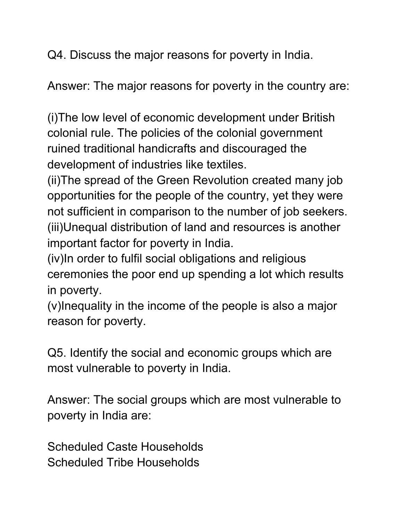Q4. Discuss the major reasons for poverty in India.

Answer: The major reasons for poverty in the country are:

(i)The low level of economic development under British colonial rule. The policies of the colonial government ruined traditional handicrafts and discouraged the development of industries like textiles.

(ii)The spread of the Green Revolution created many job opportunities for the people of the country, yet they were not sufficient in comparison to the number of job seekers. (iii)Unequal distribution of land and resources is another important factor for poverty in India.

(iv)In order to fulfil social obligations and religious ceremonies the poor end up spending a lot which results in poverty.

(v)Inequality in the income of the people is also a major reason for poverty.

Q5. Identify the social and economic groups which are most vulnerable to poverty in India.

Answer: The social groups which are most vulnerable to poverty in India are:

Scheduled Caste Households Scheduled Tribe Households